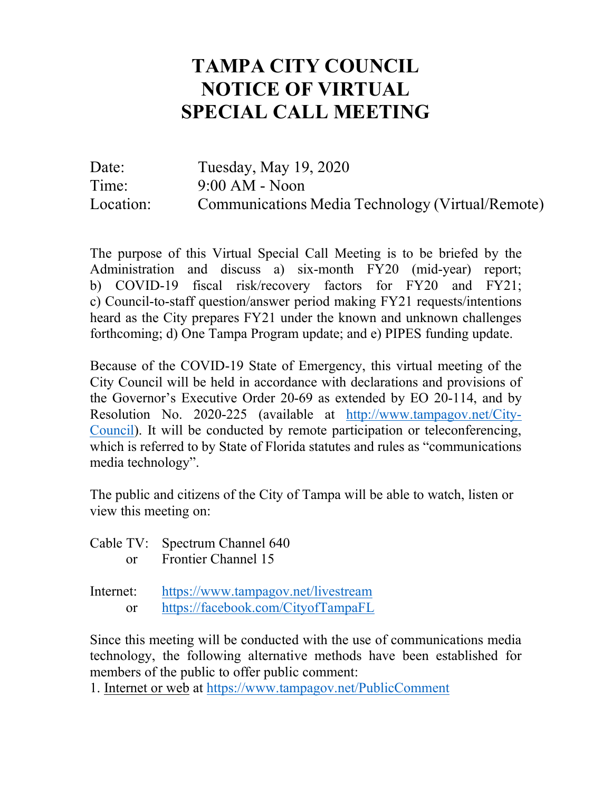## **TAMPA CITY COUNCIL NOTICE OF VIRTUAL SPECIAL CALL MEETING**

Date: Tuesday, May 19, 2020 Time: 9:00 AM - Noon Location: Communications Media Technology (Virtual/Remote)

The purpose of this Virtual Special Call Meeting is to be briefed by the Administration and discuss a) six-month FY20 (mid-year) report; b) COVID-19 fiscal risk/recovery factors for FY20 and FY21; c) Council-to-staff question/answer period making FY21 requests/intentions heard as the City prepares FY21 under the known and unknown challenges forthcoming; d) One Tampa Program update; and e) PIPES funding update.

Because of the COVID-19 State of Emergency, this virtual meeting of the City Council will be held in accordance with declarations and provisions of the Governor's Executive Order 20-69 as extended by EO 20-114, and by Resolution No. 2020-225 (available at [http://www.tampagov.net/City-](http://www.tampagov.net/City-Council)[Council\)](http://www.tampagov.net/City-Council). It will be conducted by remote participation or teleconferencing, which is referred to by State of Florida statutes and rules as "communications media technology".

The public and citizens of the City of Tampa will be able to watch, listen or view this meeting on:

Cable TV: Spectrum Channel 640 or Frontier Channel 15

Internet: <https://www.tampagov.net/livestream> or <https://facebook.com/CityofTampaFL>

Since this meeting will be conducted with the use of communications media technology, the following alternative methods have been established for members of the public to offer public comment:

1. Internet or web at<https://www.tampagov.net/PublicComment>